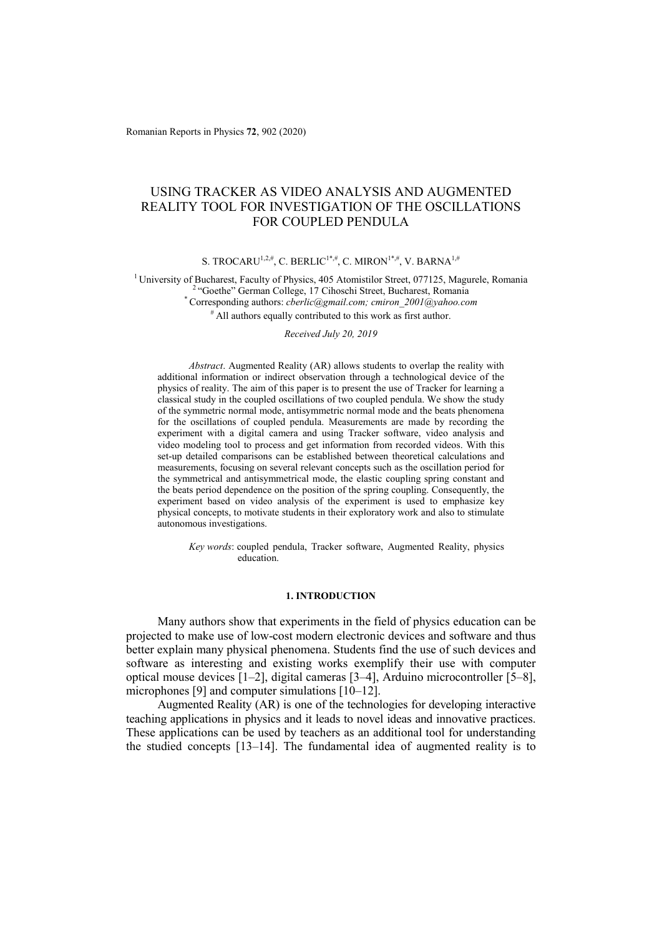Romanian Reports in Physics **72**, 902 (2020)

# USING TRACKER AS VIDEO ANALYSIS AND AUGMENTED REALITY TOOL FOR INVESTIGATION OF THE OSCILLATIONS FOR COUPLED PENDULA

S. TROCARU<sup>1,2,#</sup>, C. BERLIC<sup>1\*,#</sup>, C. MIRON<sup>1\*,#</sup>, V. BARNA<sup>1,#</sup>

<sup>1</sup> University of Bucharest, Faculty of Physics, 405 Atomistilor Street, 077125, Magurele, Romania<br><sup>2</sup> "Goethe" German College, 17 Cihoschi Street, Bucharest, Romania<br>\* Corresponding authors: *cherlic@gmail.com; cmiron 20*  $*$  All authors equally contributed to this work as first author.

*Received July 20, 2019* 

*Abstract*. Augmented Reality (AR) allows students to overlap the reality with additional information or indirect observation through a technological device of the physics of reality. The aim of this paper is to present the use of Tracker for learning a classical study in the coupled oscillations of two coupled pendula. We show the study of the symmetric normal mode, antisymmetric normal mode and the beats phenomena for the oscillations of coupled pendula. Measurements are made by recording the experiment with a digital camera and using Tracker software, video analysis and video modeling tool to process and get information from recorded videos. With this set-up detailed comparisons can be established between theoretical calculations and measurements, focusing on several relevant concepts such as the oscillation period for the symmetrical and antisymmetrical mode, the elastic coupling spring constant and the beats period dependence on the position of the spring coupling. Consequently, the experiment based on video analysis of the experiment is used to emphasize key physical concepts, to motivate students in their exploratory work and also to stimulate autonomous investigations.

*Key words*: coupled pendula, Tracker software, Augmented Reality, physics education.

### **1. INTRODUCTION**

Many authors show that experiments in the field of physics education can be projected to make use of low-cost modern electronic devices and software and thus better explain many physical phenomena. Students find the use of such devices and software as interesting and existing works exemplify their use with computer optical mouse devices [1–2], digital cameras [3–4], Arduino microcontroller [5–8], microphones [9] and computer simulations [10–12].

Augmented Reality (AR) is one of the technologies for developing interactive teaching applications in physics and it leads to novel ideas and innovative practices. These applications can be used by teachers as an additional tool for understanding the studied concepts [13–14]. The fundamental idea of augmented reality is to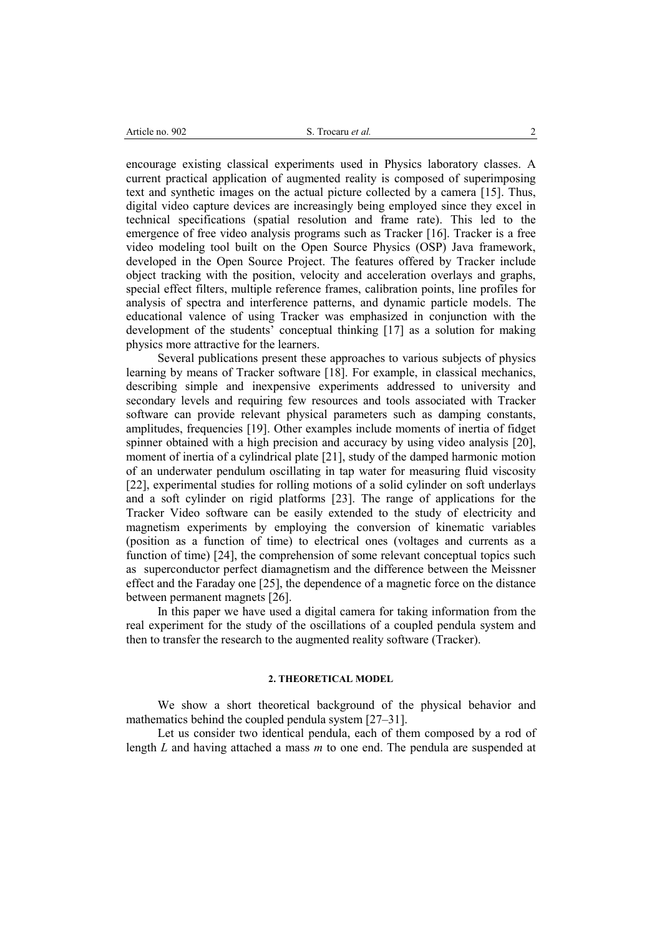encourage existing classical experiments used in Physics laboratory classes. A current practical application of augmented reality is composed of superimposing text and synthetic images on the actual picture collected by a camera [15]. Thus, digital video capture devices are increasingly being employed since they excel in technical specifications (spatial resolution and frame rate). This led to the emergence of free video analysis programs such as Tracker [16]. Tracker is a free video modeling tool built on the Open Source Physics (OSP) Java framework, developed in the Open Source Project. The features offered by Tracker include object tracking with the position, velocity and acceleration overlays and graphs, special effect filters, multiple reference frames, calibration points, line profiles for analysis of spectra and interference patterns, and dynamic particle models. The educational valence of using Tracker was emphasized in conjunction with the development of the students' conceptual thinking [17] as a solution for making physics more attractive for the learners.

Several publications present these approaches to various subjects of physics learning by means of Tracker software [18]. For example, in classical mechanics, describing simple and inexpensive experiments addressed to university and secondary levels and requiring few resources and tools associated with Tracker software can provide relevant physical parameters such as damping constants, amplitudes, frequencies [19]. Other examples include moments of inertia of fidget spinner obtained with a high precision and accuracy by using video analysis [20], moment of inertia of a cylindrical plate [21], study of the damped harmonic motion of an underwater pendulum oscillating in tap water for measuring fluid viscosity [22], experimental studies for rolling motions of a solid cylinder on soft underlays and a soft cylinder on rigid platforms [23]. The range of applications for the Tracker Video software can be easily extended to the study of electricity and magnetism experiments by employing the conversion of kinematic variables (position as a function of time) to electrical ones (voltages and currents as a function of time) [24], the comprehension of some relevant conceptual topics such as superconductor perfect diamagnetism and the difference between the Meissner effect and the Faraday one [25], the dependence of a magnetic force on the distance between permanent magnets [26].

In this paper we have used a digital camera for taking information from the real experiment for the study of the oscillations of a coupled pendula system and then to transfer the research to the augmented reality software (Tracker).

### **2. THEORETICAL MODEL**

We show a short theoretical background of the physical behavior and mathematics behind the coupled pendula system [27–31].

Let us consider two identical pendula, each of them composed by a rod of length *L* and having attached a mass *m* to one end. The pendula are suspended at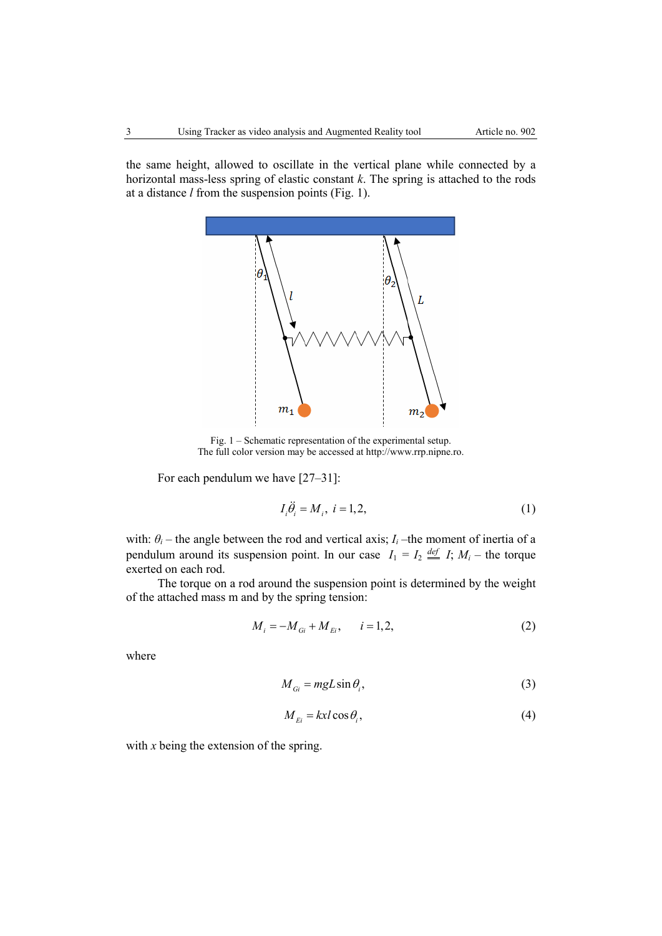the same height, allowed to oscillate in the vertical plane while connected by a horizontal mass-less spring of elastic constant *k*. The spring is attached to the rods at a distance *l* from the suspension points (Fig. 1).



Fig. 1 – Schematic representation of the experimental setup. The full color version may be accessed at http://www.rrp.nipne.ro.

For each pendulum we have [27–31]:

$$
I_i \ddot{\theta}_i = M_i, \ i = 1, 2,
$$
\n<sup>(1)</sup>

with:  $\theta_i$  – the angle between the rod and vertical axis;  $I_i$  –the moment of inertia of a pendulum around its suspension point. In our case  $I_1 = I_2 \stackrel{def}{=} I$ ;  $M_i$  – the torque exerted on each rod.

The torque on a rod around the suspension point is determined by the weight of the attached mass m and by the spring tension:

$$
M_i = -M_{Gi} + M_{Ei}, \qquad i = 1, 2,
$$
 (2)

where

$$
M_{Gi} = mgL\sin\theta_i, \tag{3}
$$

$$
M_{E_i} = kx \cdot \cos \theta_i, \tag{4}
$$

with *x* being the extension of the spring.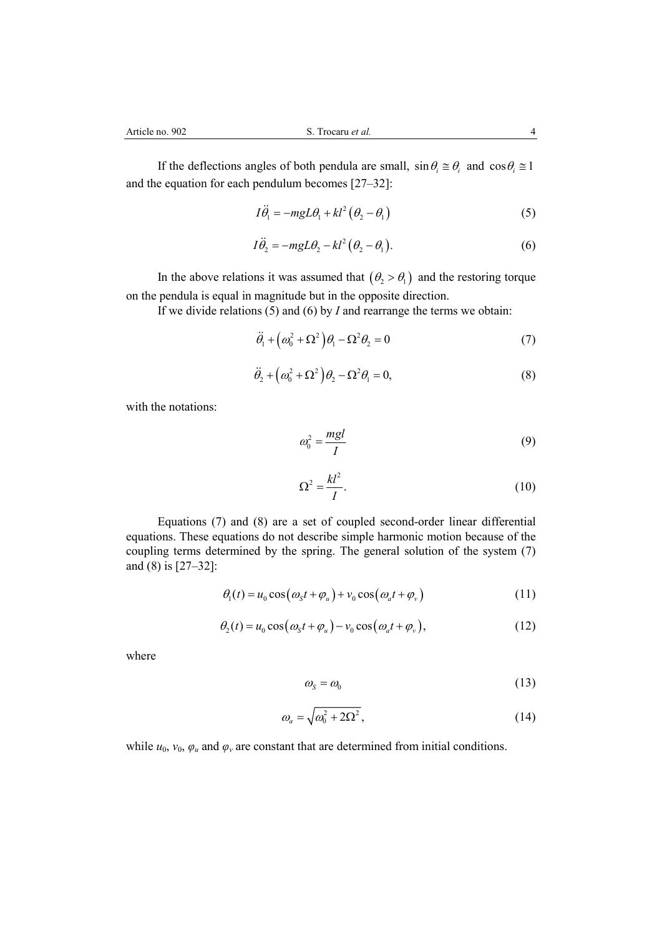If the deflections angles of both pendula are small,  $\sin \theta_i \approx \theta_i$  and  $\cos \theta_i \approx 1$ and the equation for each pendulum becomes [27–32]:

$$
I\ddot{\theta}_1 = -mgL\theta_1 + kl^2(\theta_2 - \theta_1)
$$
 (5)

$$
I\ddot{\theta}_2 = -mgL\theta_2 - kl^2(\theta_2 - \theta_1). \tag{6}
$$

In the above relations it was assumed that  $(\theta_2 > \theta_1)$  and the restoring torque on the pendula is equal in magnitude but in the opposite direction.

If we divide relations (5) and (6) by *I* and rearrange the terms we obtain:

$$
\ddot{\theta}_1 + \left(\omega_0^2 + \Omega^2\right)\theta_1 - \Omega^2\theta_2 = 0\tag{7}
$$

$$
\ddot{\theta}_2 + \left(\omega_0^2 + \Omega^2\right)\theta_2 - \Omega^2\theta_1 = 0,\tag{8}
$$

with the notations:

$$
\omega_0^2 = \frac{mgl}{I} \tag{9}
$$

$$
\Omega^2 = \frac{kl^2}{I}.\tag{10}
$$

Equations (7) and (8) are a set of coupled second-order linear differential equations. These equations do not describe simple harmonic motion because of the coupling terms determined by the spring. The general solution of the system (7) and (8) is [27–32]:

$$
\theta_1(t) = u_0 \cos(\omega_s t + \varphi_u) + v_0 \cos(\omega_a t + \varphi_v)
$$
\n(11)

$$
\theta_2(t) = u_0 \cos(\omega_s t + \varphi_u) - v_0 \cos(\omega_a t + \varphi_v), \tag{12}
$$

where

$$
\omega_{\rm s} = \omega_0 \tag{13}
$$

$$
\omega_a = \sqrt{\omega_0^2 + 2\Omega^2},\tag{14}
$$

while  $u_0$ ,  $v_0$ ,  $\varphi_u$  and  $\varphi_v$  are constant that are determined from initial conditions.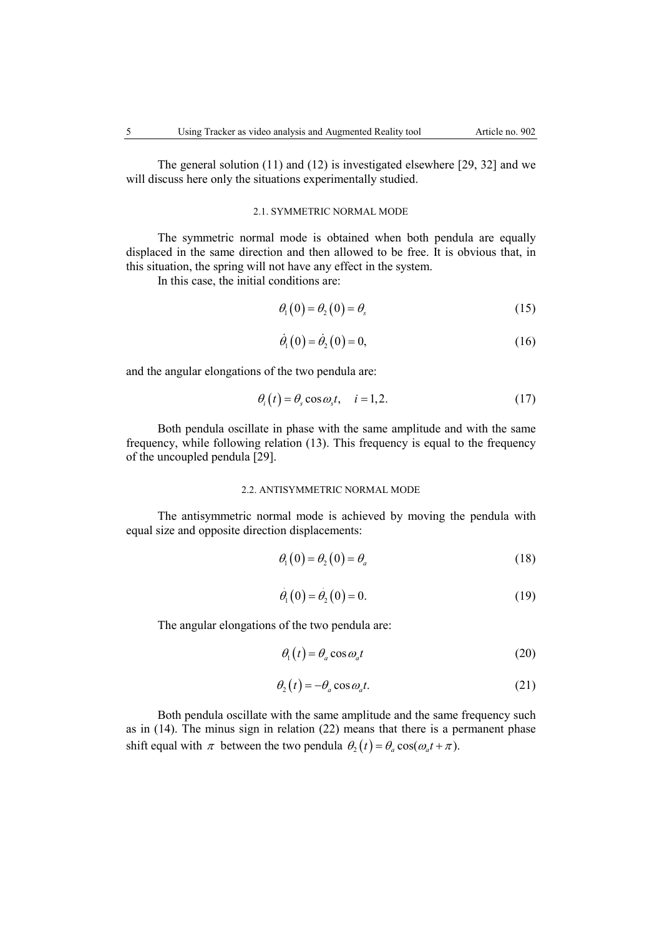The general solution (11) and (12) is investigated elsewhere [29, 32] and we will discuss here only the situations experimentally studied.

# 2.1. SYMMETRIC NORMAL MODE

The symmetric normal mode is obtained when both pendula are equally displaced in the same direction and then allowed to be free. It is obvious that, in this situation, the spring will not have any effect in the system.

In this case, the initial conditions are:

$$
\theta_1(0) = \theta_2(0) = \theta_s \tag{15}
$$

$$
\dot{\theta}_1(0) = \dot{\theta}_2(0) = 0,\tag{16}
$$

and the angular elongations of the two pendula are:

$$
\theta_i(t) = \theta_s \cos \omega_s t, \quad i = 1, 2. \tag{17}
$$

Both pendula oscillate in phase with the same amplitude and with the same frequency, while following relation (13). This frequency is equal to the frequency of the uncoupled pendula [29].

### 2.2. ANTISYMMETRIC NORMAL MODE

The antisymmetric normal mode is achieved by moving the pendula with equal size and opposite direction displacements:

$$
\theta_1(0) = \theta_2(0) = \theta_a \tag{18}
$$

$$
\dot{\theta}_1(0) = \dot{\theta}_2(0) = 0. \tag{19}
$$

The angular elongations of the two pendula are:

$$
\theta_1(t) = \theta_a \cos \omega_a t \tag{20}
$$

$$
\theta_2(t) = -\theta_a \cos \omega_a t. \tag{21}
$$

Both pendula oscillate with the same amplitude and the same frequency such as in (14). The minus sign in relation (22) means that there is a permanent phase shift equal with  $\pi$  between the two pendula  $\theta_2(t) = \theta_a \cos(\omega_a t + \pi)$ .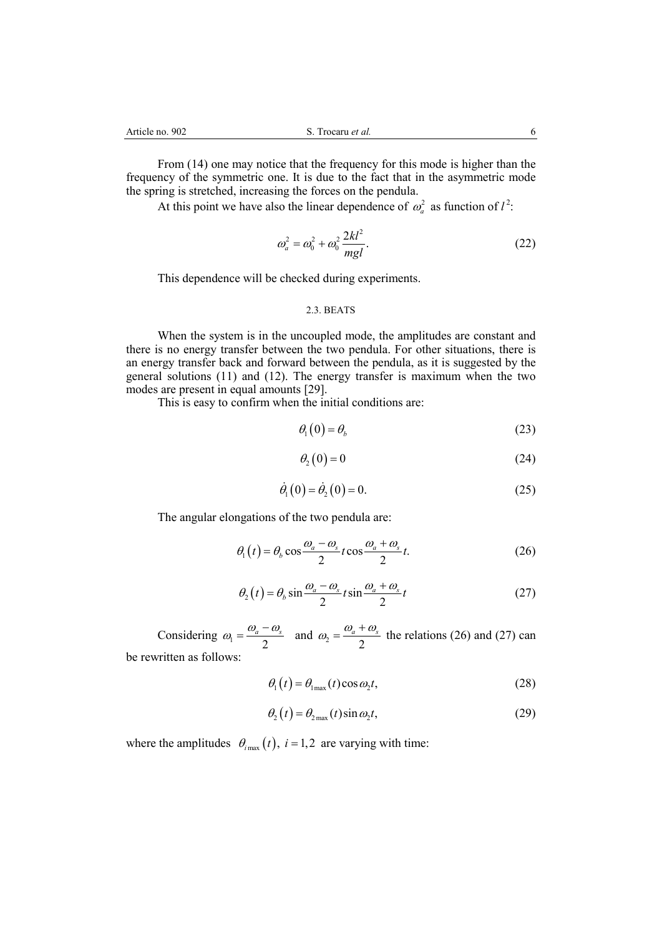From (14) one may notice that the frequency for this mode is higher than the frequency of the symmetric one. It is due to the fact that in the asymmetric mode the spring is stretched, increasing the forces on the pendula.

At this point we have also the linear dependence of  $\omega_a^2$  as function of  $l^2$ :

$$
\omega_a^2 = \omega_0^2 + \omega_0^2 \frac{2kl^2}{mgl}.
$$
 (22)

This dependence will be checked during experiments.

### 2.3. BEATS

When the system is in the uncoupled mode, the amplitudes are constant and there is no energy transfer between the two pendula. For other situations, there is an energy transfer back and forward between the pendula, as it is suggested by the general solutions (11) and (12). The energy transfer is maximum when the two modes are present in equal amounts [29].

This is easy to confirm when the initial conditions are:

$$
\theta_1(0) = \theta_b \tag{23}
$$

$$
\theta_2(0) = 0 \tag{24}
$$

$$
\dot{\theta}_1(0) = \dot{\theta}_2(0) = 0. \tag{25}
$$

The angular elongations of the two pendula are:

$$
\theta_1(t) = \theta_b \cos \frac{\omega_a - \omega_s}{2} t \cos \frac{\omega_a + \omega_s}{2} t.
$$
 (26)

$$
\theta_2(t) = \theta_b \sin \frac{\omega_a - \omega_s}{2} t \sin \frac{\omega_a + \omega_s}{2} t \tag{27}
$$

Considering  $\omega_1 = \frac{\omega_a - \omega_s}{2}$  and  $\omega_2 = \frac{\omega_a + \omega_s}{2}$  the relations (26) and (27) can be rewritten as follows:

$$
\theta_{\rm l}(t) = \theta_{\rm l\,max}(t) \cos \omega_2 t,\tag{28}
$$

$$
\theta_2(t) = \theta_{2\max}(t)\sin\omega_2 t,\tag{29}
$$

where the amplitudes  $\theta_{i_{\text{max}}}(t)$ ,  $i = 1,2$  are varying with time: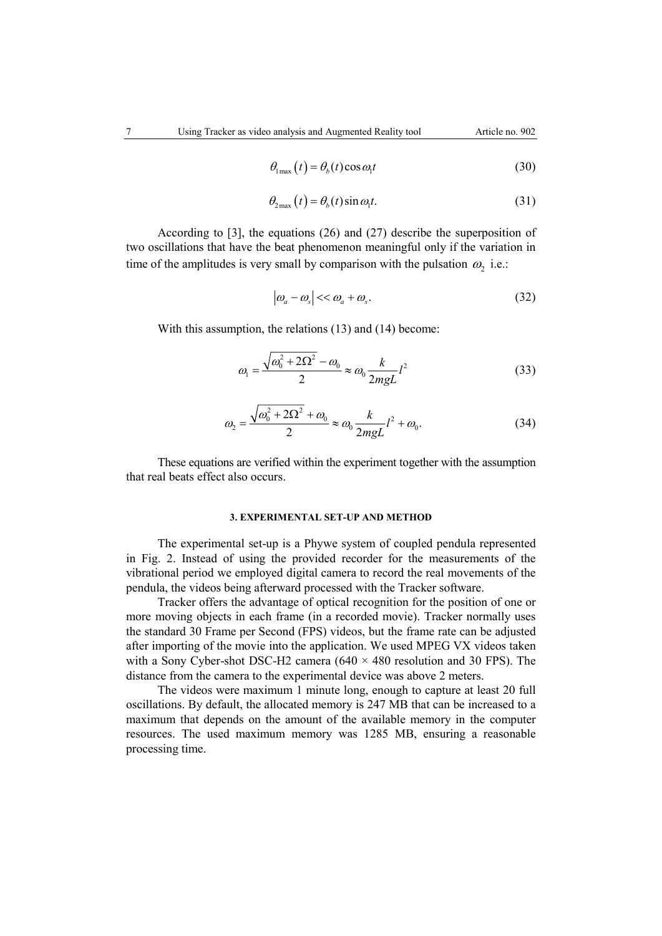$$
f_{\rm{max}}
$$

$$
\theta_{\text{max}}(t) = \theta_b(t) \cos \omega_1 t \tag{30}
$$

$$
\theta_{2\max}(t) = \theta_b(t)\sin\omega_1 t. \tag{31}
$$

According to [3], the equations (26) and (27) describe the superposition of two oscillations that have the beat phenomenon meaningful only if the variation in time of the amplitudes is very small by comparison with the pulsation  $\omega_2$  i.e.:

$$
\left| \omega_a - \omega_s \right| << \omega_a + \omega_s. \tag{32}
$$

With this assumption, the relations (13) and (14) become:

$$
\omega_1 = \frac{\sqrt{\omega_0^2 + 2\Omega^2} - \omega_0}{2} \approx \omega_0 \frac{k}{2mgL} l^2
$$
 (33)

$$
\omega_2 = \frac{\sqrt{\omega_0^2 + 2\Omega^2} + \omega_0}{2} \approx \omega_0 \frac{k}{2mgL} l^2 + \omega_0.
$$
 (34)

These equations are verified within the experiment together with the assumption that real beats effect also occurs.

# **3. EXPERIMENTAL SET-UP AND METHOD**

The experimental set-up is a Phywe system of coupled pendula represented in Fig. 2. Instead of using the provided recorder for the measurements of the vibrational period we employed digital camera to record the real movements of the pendula, the videos being afterward processed with the Tracker software.

Tracker offers the advantage of optical recognition for the position of one or more moving objects in each frame (in a recorded movie). Tracker normally uses the standard 30 Frame per Second (FPS) videos, but the frame rate can be adjusted after importing of the movie into the application. We used MPEG VX videos taken with a Sony Cyber-shot DSC-H2 camera  $(640 \times 480$  resolution and 30 FPS). The distance from the camera to the experimental device was above 2 meters.

The videos were maximum 1 minute long, enough to capture at least 20 full oscillations. By default, the allocated memory is 247 MB that can be increased to a maximum that depends on the amount of the available memory in the computer resources. The used maximum memory was 1285 MB, ensuring a reasonable processing time.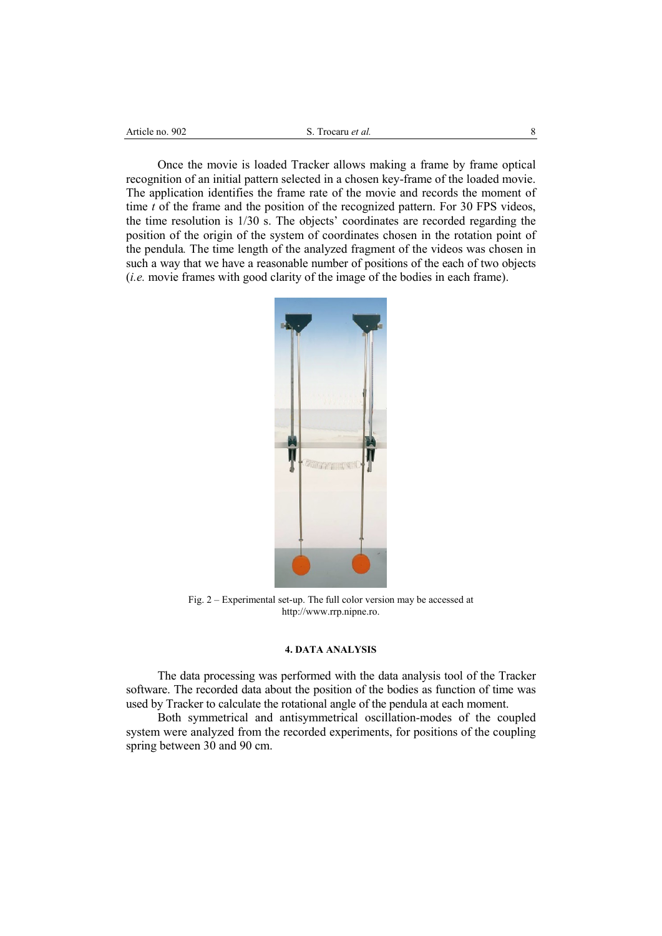| Article no. 902 | Trocaru <i>et al.</i> |  |
|-----------------|-----------------------|--|
|                 |                       |  |

Once the movie is loaded Tracker allows making a frame by frame optical recognition of an initial pattern selected in a chosen key-frame of the loaded movie. The application identifies the frame rate of the movie and records the moment of time *t* of the frame and the position of the recognized pattern. For 30 FPS videos, the time resolution is 1/30 s. The objects' coordinates are recorded regarding the position of the origin of the system of coordinates chosen in the rotation point of the pendula*.* The time length of the analyzed fragment of the videos was chosen in such a way that we have a reasonable number of positions of the each of two objects (*i.e.* movie frames with good clarity of the image of the bodies in each frame).



Fig. 2 – Experimental set-up. The full color version may be accessed at http://www.rrp.nipne.ro.

# **4. DATA ANALYSIS**

The data processing was performed with the data analysis tool of the Tracker software. The recorded data about the position of the bodies as function of time was used by Tracker to calculate the rotational angle of the pendula at each moment.

Both symmetrical and antisymmetrical oscillation-modes of the coupled system were analyzed from the recorded experiments, for positions of the coupling spring between 30 and 90 cm.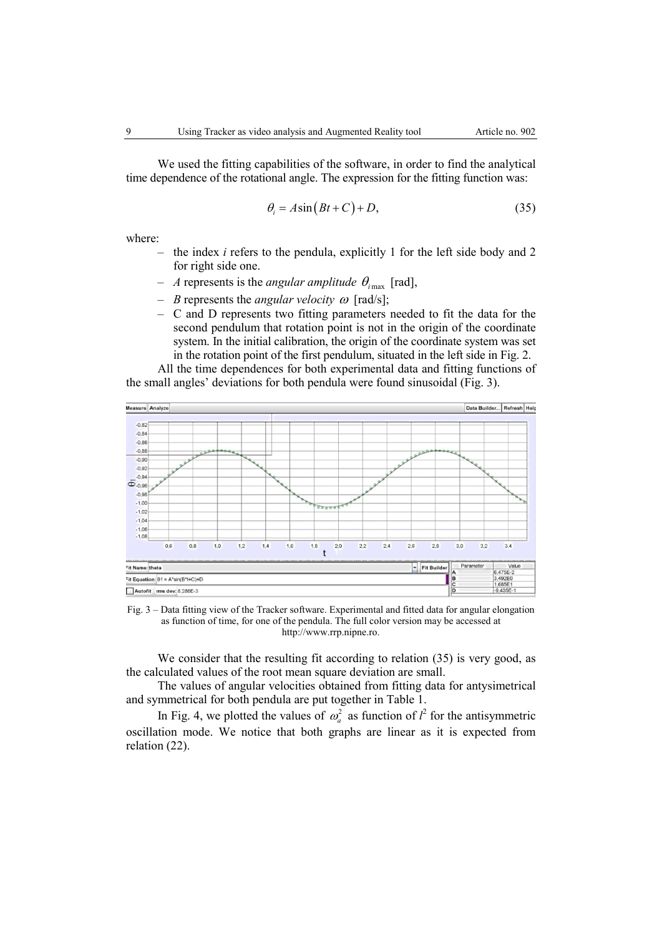We used the fitting capabilities of the software, in order to find the analytical time dependence of the rotational angle. The expression for the fitting function was:

$$
\theta_i = A \sin\left(Bt + C\right) + D,\tag{35}
$$

where:

- the index *i* refers to the pendula, explicitly 1 for the left side body and 2 for right side one.
- *A* represents is the *angular amplitude*  $\theta_{i_{\text{max}}}$  [rad],
- *B* represents the *angular velocity*  $\omega$  [rad/s];
- C and D represents two fitting parameters needed to fit the data for the second pendulum that rotation point is not in the origin of the coordinate system. In the initial calibration, the origin of the coordinate system was set in the rotation point of the first pendulum, situated in the left side in Fig. 2.

All the time dependences for both experimental data and fitting functions of the small angles' deviations for both pendula were found sinusoidal (Fig. 3).



Fig. 3 – Data fitting view of the Tracker software. Experimental and fitted data for angular elongation as function of time, for one of the pendula. The full color version may be accessed at http://www.rrp.nipne.ro.

We consider that the resulting fit according to relation (35) is very good, as the calculated values of the root mean square deviation are small.

The values of angular velocities obtained from fitting data for antysimetrical and symmetrical for both pendula are put together in Table 1.

In Fig. 4, we plotted the values of  $\omega_a^2$  as function of  $l^2$  for the antisymmetric oscillation mode. We notice that both graphs are linear as it is expected from relation (22).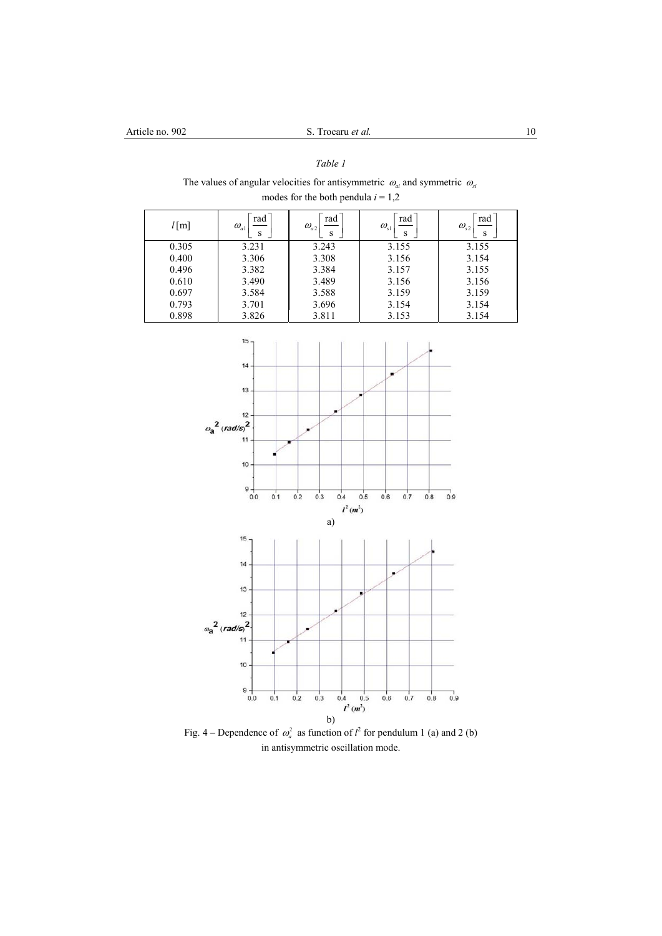# *Table 1*

The values of angular velocities for antisymmetric  $\omega_{ai}$  and symmetric  $\omega_{si}$ modes for the both pendula  $i = 1,2$ 

| $l$ [m] | rad<br>$\omega_{a1}$<br>S | rad<br>$\omega_{a2}$<br>S | rad<br>$\omega_{\scriptscriptstyle\rm s1}$<br>S | rad<br>$\omega_{s2}$<br>S |
|---------|---------------------------|---------------------------|-------------------------------------------------|---------------------------|
| 0.305   | 3.231                     | 3.243                     | 3.155                                           | 3.155                     |
| 0.400   | 3.306                     | 3.308                     | 3.156                                           | 3.154                     |
| 0.496   | 3.382                     | 3.384                     | 3.157                                           | 3.155                     |
| 0.610   | 3.490                     | 3.489                     | 3.156                                           | 3.156                     |
| 0.697   | 3.584                     | 3.588                     | 3.159                                           | 3.159                     |
| 0.793   | 3.701                     | 3.696                     | 3.154                                           | 3.154                     |
| 0.898   | 3.826                     | 3.811                     | 3.153                                           | 3.154                     |



Fig. 4 – Dependence of  $\omega_a^2$  as function of  $l^2$  for pendulum 1 (a) and 2 (b) in antisymmetric oscillation mode.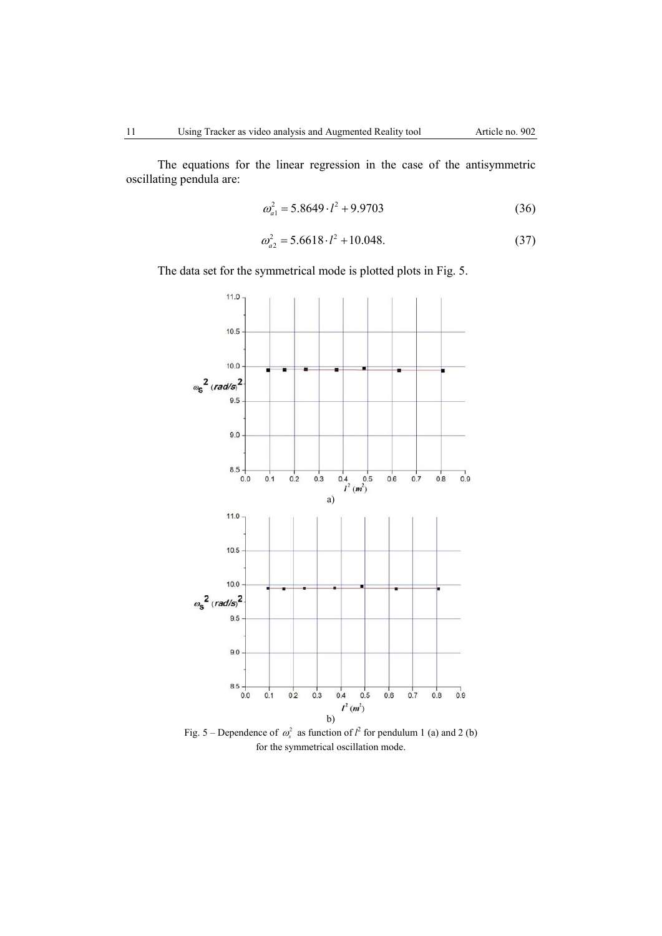The equations for the linear regression in the case of the antisymmetric oscillating pendula are:

$$
\omega_{a1}^2 = 5.8649 \cdot l^2 + 9.9703\tag{36}
$$

$$
\omega_{a2}^2 = 5.6618 \cdot l^2 + 10.048. \tag{37}
$$

The data set for the symmetrical mode is plotted plots in Fig. 5.



for the symmetrical oscillation mode.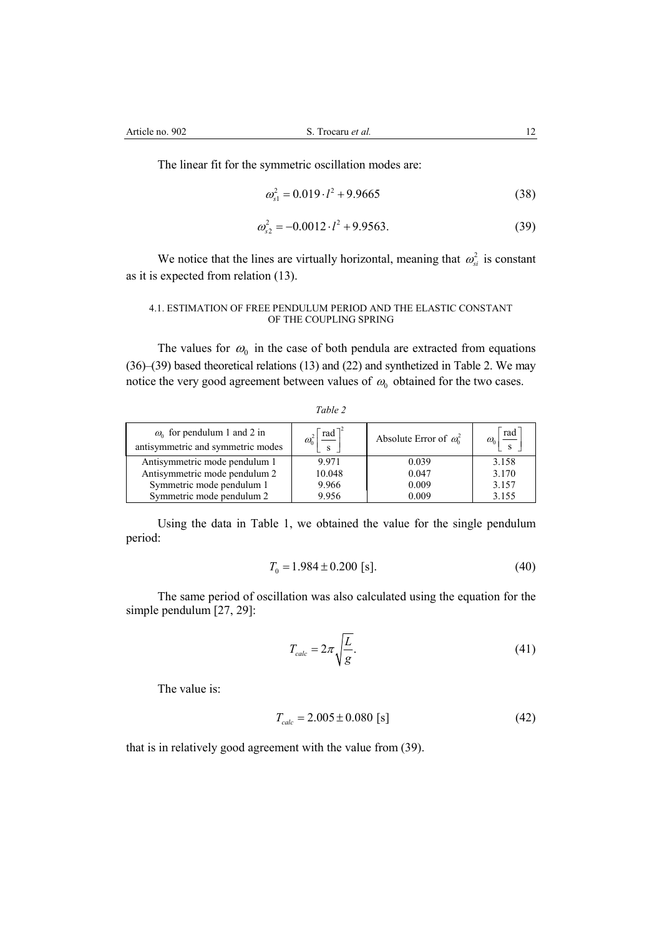The linear fit for the symmetric oscillation modes are:

$$
\omega_{s1}^2 = 0.019 \cdot l^2 + 9.9665\tag{38}
$$

$$
\omega_{s2}^2 = -0.0012 \cdot l^2 + 9.9563. \tag{39}
$$

We notice that the lines are virtually horizontal, meaning that  $\omega_{si}^2$  is constant as it is expected from relation (13).

### 4.1. ESTIMATION OF FREE PENDULUM PERIOD AND THE ELASTIC CONSTANT OF THE COUPLING SPRING

The values for  $\omega_0$  in the case of both pendula are extracted from equations (36)–(39) based theoretical relations (13) and (22) and synthetized in Table 2. We may notice the very good agreement between values of  $\omega_0$  obtained for the two cases.

| Œ<br>,,, |  |
|----------|--|
|          |  |

| $\omega_0$ for pendulum 1 and 2 in<br>antisymmetric and symmetric modes | $rad^7$ | Absolute Error of $\omega_0^2$ | rad<br>$\omega_{0}$ |
|-------------------------------------------------------------------------|---------|--------------------------------|---------------------|
| Antisymmetric mode pendulum 1                                           | 9.971   | 0.039                          | 3.158               |
| Antisymmetric mode pendulum 2                                           | 10.048  | 0.047                          | 3.170               |
| Symmetric mode pendulum 1                                               | 9.966   | 0.009                          | 3.157               |
| Symmetric mode pendulum 2                                               | 9.956   | 0.009                          | 3.155               |

Using the data in Table 1, we obtained the value for the single pendulum period:

$$
T_0 = 1.984 \pm 0.200 \text{ [s]}.
$$
\n<sup>(40)</sup>

The same period of oscillation was also calculated using the equation for the simple pendulum [27, 29]:

$$
T_{calc} = 2\pi \sqrt{\frac{L}{g}}.\tag{41}
$$

The value is:

$$
T_{calc} = 2.005 \pm 0.080 \text{ [s]}
$$
 (42)

that is in relatively good agreement with the value from (39).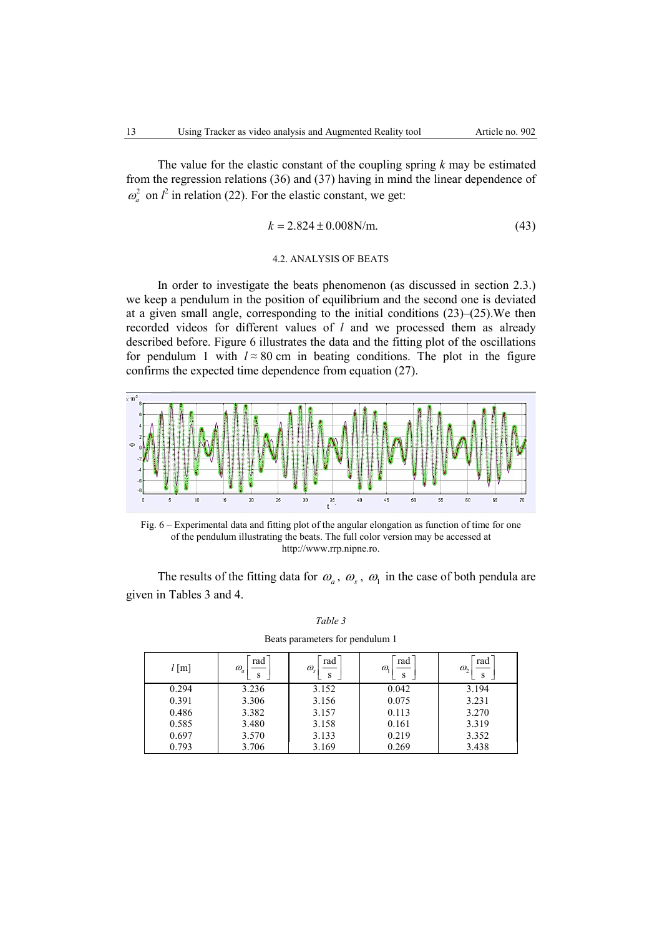The value for the elastic constant of the coupling spring *k* may be estimated from the regression relations (36) and (37) having in mind the linear dependence of  $2^{2}$  in relation (22). For the elastic constant, we get:

$$
k = 2.824 \pm 0.008 \,\text{N/m}.\tag{43}
$$

### 4.2. ANALYSIS OF BEATS

In order to investigate the beats phenomenon (as discussed in section 2.3.) we keep a pendulum in the position of equilibrium and the second one is deviated at a given small angle, corresponding to the initial conditions  $(23)$ – $(25)$ . We then recorded videos for different values of *l* and we processed them as already described before. Figure 6 illustrates the data and the fitting plot of the oscillations for pendulum 1 with  $l \approx 80$  cm in beating conditions. The plot in the figure confirms the expected time dependence from equation (27).



Fig. 6 – Experimental data and fitting plot of the angular elongation as function of time for one of the pendulum illustrating the beats. The full color version may be accessed at http://www.rrp.nipne.ro.

The results of the fitting data for  $\omega_a$ ,  $\omega_s$ ,  $\omega_1$  in the case of both pendula are given in Tables 3 and 4.

| $l$ [m] | rad<br>$\omega_a$<br>S | rad<br>$\omega_{\rm s}$<br>S | rad<br>$\omega$<br>S | rad<br>$\omega$ ,<br>S |
|---------|------------------------|------------------------------|----------------------|------------------------|
| 0.294   | 3.236                  | 3.152                        | 0.042                | 3.194                  |
| 0.391   | 3.306                  | 3.156                        | 0.075                | 3.231                  |
| 0.486   | 3.382                  | 3.157                        | 0.113                | 3.270                  |
| 0.585   | 3.480                  | 3.158                        | 0.161                | 3.319                  |
| 0.697   | 3.570                  | 3.133                        | 0.219                | 3.352                  |
| 0.793   | 3.706                  | 3.169                        | 0.269                | 3.438                  |

*Table 3*  Beats parameters for pendulum 1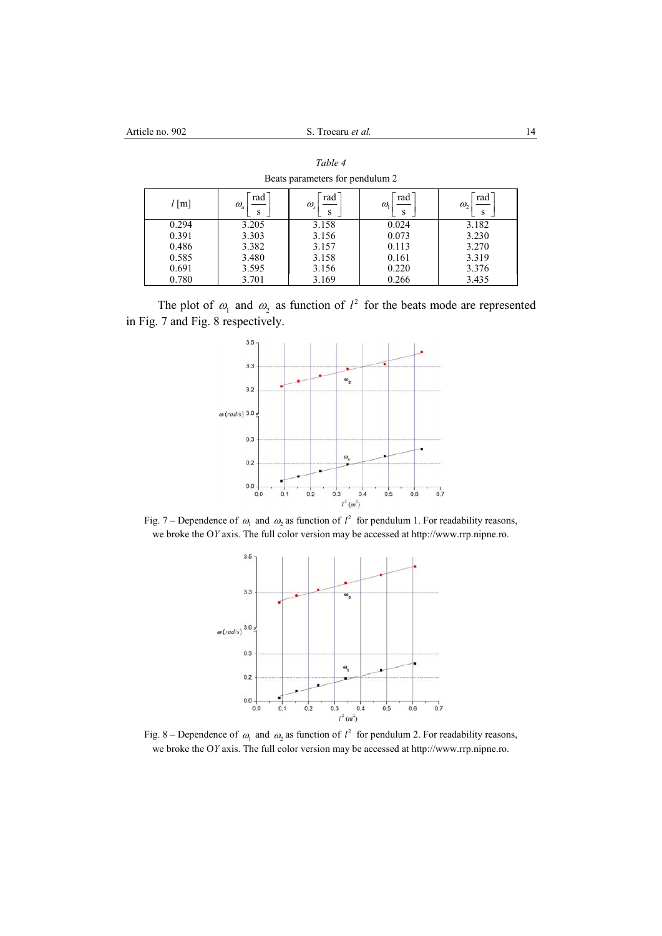| $l$ [m] | rad<br>$\omega_a$<br>s | rad<br>$\omega_{\rm s}$<br>s | rad<br>$\omega$<br>S | rad<br>$\omega$ ,<br>S |
|---------|------------------------|------------------------------|----------------------|------------------------|
| 0.294   | 3.205                  | 3.158                        | 0.024                | 3.182                  |
| 0.391   | 3.303                  | 3.156                        | 0.073                | 3.230                  |
| 0.486   | 3.382                  | 3.157                        | 0.113                | 3.270                  |
| 0.585   | 3.480                  | 3.158                        | 0.161                | 3.319                  |
| 0.691   | 3.595                  | 3.156                        | 0.220                | 3.376                  |
| 0.780   | 3.701                  | 3.169                        | 0.266                | 3.435                  |

*Table 4*  Beats parameters for pendulum 2

The plot of  $\omega_1$  and  $\omega_2$  as function of  $l^2$  for the beats mode are represented in Fig. 7 and Fig. 8 respectively.



Fig. 7 – Dependence of  $\omega_1$  and  $\omega_2$  as function of  $l^2$  for pendulum 1. For readability reasons, we broke the O*Y* axis. The full color version may be accessed at http://www.rrp.nipne.ro.



Fig. 8 – Dependence of  $\omega_1$  and  $\omega_2$  as function of  $l^2$  for pendulum 2. For readability reasons, we broke the O*Y* axis. The full color version may be accessed at http://www.rrp.nipne.ro.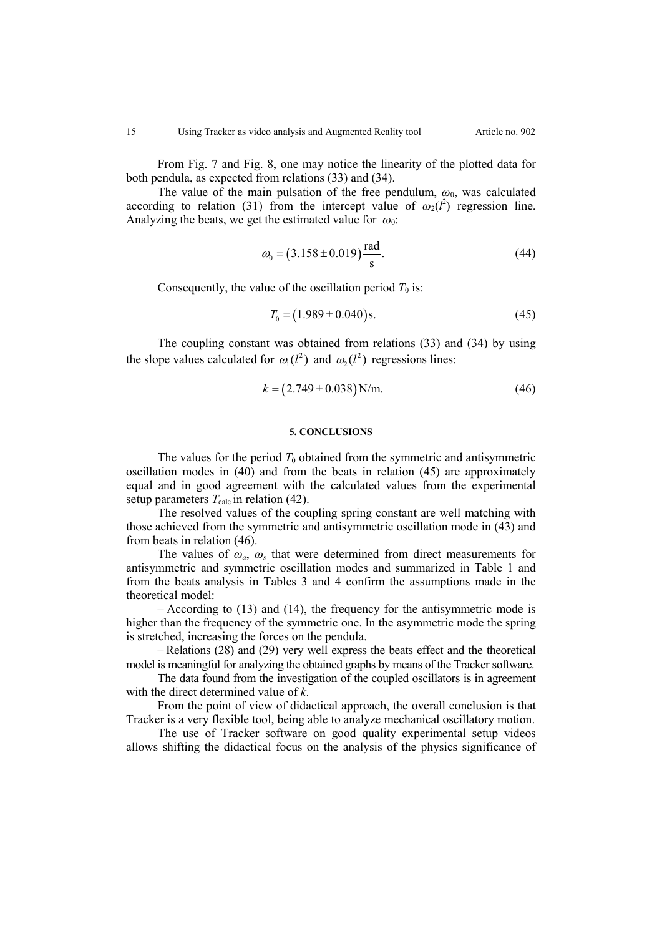From Fig. 7 and Fig. 8, one may notice the linearity of the plotted data for both pendula, as expected from relations (33) and (34).

The value of the main pulsation of the free pendulum,  $\omega_0$ , was calculated according to relation (31) from the intercept value of  $\omega_2(l^2)$  regression line. Analyzing the beats, we get the estimated value for  $\omega_0$ :

$$
\omega_0 = (3.158 \pm 0.019) \frac{\text{rad}}{\text{s}}.\tag{44}
$$

Consequently, the value of the oscillation period  $T_0$  is:

$$
T_0 = (1.989 \pm 0.040) \,\text{s}.\tag{45}
$$

The coupling constant was obtained from relations (33) and (34) by using the slope values calculated for  $\omega_1(l^2)$  and  $\omega_2(l^2)$  regressions lines:

$$
k = (2.749 \pm 0.038) \,\text{N/m}.\tag{46}
$$

# **5. CONCLUSIONS**

The values for the period  $T_0$  obtained from the symmetric and antisymmetric oscillation modes in (40) and from the beats in relation (45) are approximately equal and in good agreement with the calculated values from the experimental setup parameters  $T_{\text{calc}}$  in relation (42).

The resolved values of the coupling spring constant are well matching with those achieved from the symmetric and antisymmetric oscillation mode in (43) and from beats in relation (46).

The values of  $\omega_a$ ,  $\omega_s$  that were determined from direct measurements for antisymmetric and symmetric oscillation modes and summarized in Table 1 and from the beats analysis in Tables 3 and 4 confirm the assumptions made in the theoretical model:

– According to (13) and (14), the frequency for the antisymmetric mode is higher than the frequency of the symmetric one. In the asymmetric mode the spring is stretched, increasing the forces on the pendula.

– Relations (28) and (29) very well express the beats effect and the theoretical model is meaningful for analyzing the obtained graphs by means of the Tracker software.

The data found from the investigation of the coupled oscillators is in agreement with the direct determined value of *k*.

From the point of view of didactical approach, the overall conclusion is that Tracker is a very flexible tool, being able to analyze mechanical oscillatory motion.

The use of Tracker software on good quality experimental setup videos allows shifting the didactical focus on the analysis of the physics significance of